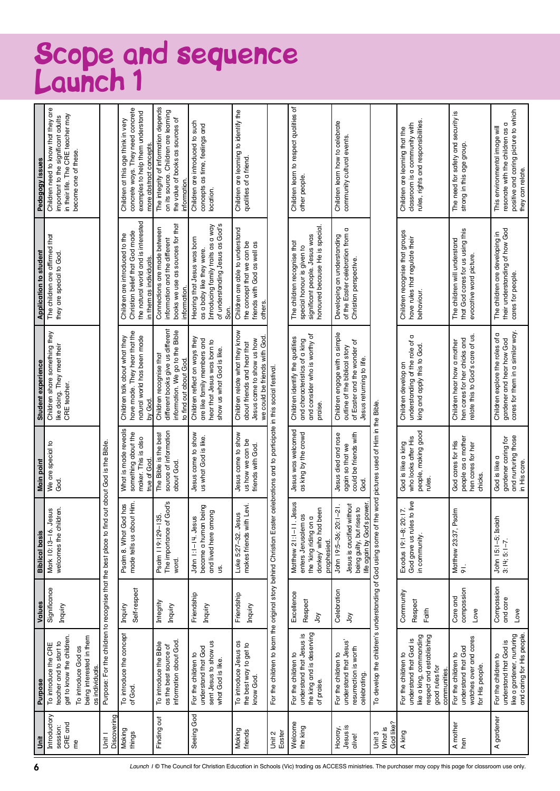## Scope and sequence Launch 1

| jnit                           | <b>Purpose</b>                                                                                                                        | Values                             | <b>Biblical basis</b>                                                                                                                              | Main point                                                                         | Student experience                                                                                                         | <b>Application to student</b>                                                                                                      | Pedagogy issues                                                                                                                        |
|--------------------------------|---------------------------------------------------------------------------------------------------------------------------------------|------------------------------------|----------------------------------------------------------------------------------------------------------------------------------------------------|------------------------------------------------------------------------------------|----------------------------------------------------------------------------------------------------------------------------|------------------------------------------------------------------------------------------------------------------------------------|----------------------------------------------------------------------------------------------------------------------------------------|
| Introductory                   | To introduce the CRE                                                                                                                  | Significance                       | Jesus<br>Mark 10:13-16.                                                                                                                            | We are special to                                                                  | Children share something they                                                                                              | The children are affirmed that                                                                                                     | Children need to know that they are                                                                                                    |
| CRE and<br>session:            | get to know the children.<br>teacher and to start to                                                                                  | Inquiry                            | ildren.<br>welcomes the chi                                                                                                                        | God.                                                                               | like doing. They meet their<br>CRE teacher.                                                                                | they are special to God.                                                                                                           | in their life. The CRE teacher may<br>important to the significant adults                                                              |
| eq                             | To introduce God as                                                                                                                   |                                    |                                                                                                                                                    |                                                                                    |                                                                                                                            |                                                                                                                                    | become one of these.                                                                                                                   |
|                                | being interested in them<br>as individuals.                                                                                           |                                    |                                                                                                                                                    |                                                                                    |                                                                                                                            |                                                                                                                                    |                                                                                                                                        |
| Discovering<br>$\overline{5}$  |                                                                                                                                       |                                    | Purpose: For the children to recognise that the best place to find out about God is the Bible.                                                     |                                                                                    |                                                                                                                            |                                                                                                                                    |                                                                                                                                        |
| Making<br>things               | To introduce the concept<br>of God.                                                                                                   | Self-respect<br>Inquiry            | made tells us about Him.<br>Psalm 8. What God has                                                                                                  | What is made reveals<br>something about the<br>maker. This is also<br>true of God. | have made. They hear that the<br>natural world has been made<br>Children talk about what they<br>by God.                   | the natural world and is interested<br>Christian belief that God made<br>Children are introduced to the<br>in them as individuals. | concrete ways. They need concrete<br>examples to help them understand<br>Children at this age think in very<br>more abstract concepts. |
| Finding out                    | information about God.<br>To introduce the Bible<br>as the best source of                                                             | Integrity<br>Inquiry               | The importance of God's<br><b>135.</b><br>Psalm 19:129-<br>word.                                                                                   | source of information<br>The Bible is the best<br>about God.                       | different books give us different<br>information. We go to the Bible<br>Children recognise that<br>to find out about God.  | books we use as sources for that<br>Connections are made between<br>information and the different<br>information.                  | The integrity of information depends<br>on its source. Children are learning<br>the value of books as sources of<br>information        |
| Seeing God                     | sent Jesus to show us<br>understand that God<br>For the children to<br>what God is like.                                              | Friendship<br>Inquiry              | became a human being<br>pong<br>John 1:1-1:1 gesus<br>and lived here an<br>g.                                                                      | Jesus came to show<br>us what God is like.                                         | Children reflect on ways they<br>are like family members and<br>hear that Jesus was born to<br>show us what God is like.   | of understanding Jesus as God's<br>Introducing family traits as a way<br>Hearing that Jesus was born<br>as a baby like they were.  | Children are introduced to such<br>concepts as time, feelings and<br>location.                                                         |
| Making<br>friends              | To introduce Jesus as<br>the best way to get to<br>know God.                                                                          | Friendship<br>Inquiry              | makes friends with Levi.<br>Luke 5:27-32. Jesus                                                                                                    | Jesus came to show<br>us how we can be<br>friends with God.                        | Children relate what they know<br>we could be friends with God<br>Jesus came to show us how<br>about friends and hear that | Children are able to understand<br>the concept that we can be<br>friends with God as well as<br>others.                            | Children are learning to identify the<br>qualities of a friend.                                                                        |
| Unit 2<br>Easter               | For the children to learn the original story behind Christian Eas                                                                     |                                    |                                                                                                                                                    | ter celebrations and to participate in this social festival.                       |                                                                                                                            |                                                                                                                                    |                                                                                                                                        |
| Welcome<br>the king            | the king and is deserving<br>For the children to<br>understand that Jesus is<br>of praise.                                            | Excellence<br>Respect<br>$\gtrsim$ | Jesus.<br>been<br>$\overline{a}$<br>$\overline{a}$<br>Matthew 21:1-11<br>enters Jerusalem<br>the 'king riding or<br>donkey' who had<br>prophesied. | Jesus was welcomed<br>as king by the crowd                                         | and consider who is worthy of<br>Children identify the qualities<br>and characteristics of a king<br>praise.               | honoured because He is special.<br>significant people. Jesus was<br>The children recognise that<br>special honour is given to      | Children learn to respect qualities of<br>other people.                                                                                |
| Hooray,<br>Jesus is<br>alive!  | understand that Jesus'<br>resurrection is worth<br>For the children to<br>celebrating.                                                | Celebration<br>λòλ                 | without<br>life again by God's power<br>John 19:5-36; 20:1-21.<br>being guilty, but rises to<br>Jesus is crucified                                 | could be friends with<br>Jesus died and rose<br>again so that we<br>ල්<br>ශ        | Children engage with a simple<br>of Easter and the wonder of<br>outline of the biblical story<br>Jesus returning to life.  | of the Easter celebration from a<br>Developing an understanding<br>Christian perspective.                                          | Children learn how to celebrate<br>community cultural events.                                                                          |
| God like?<br>What is<br>Unit 3 |                                                                                                                                       |                                    | To develop the children's understanding of God using some of the word pictures used of Him in the Bible                                            |                                                                                    |                                                                                                                            |                                                                                                                                    |                                                                                                                                        |
| A king                         | respect and establishing<br>like a king, commanding<br>understand that God is<br>For the children to<br>good rules for<br>communities | Community<br>Respect<br>Faith      | God gave us rules to live<br>in community.<br>Exodus 19:1-8; 20:17.                                                                                | people, making good<br>who looks after His<br>God is like a king<br>rules.         | understanding of the role of a<br>king and apply this to God.<br>Children develop an                                       | Children recognise that groups<br>have rules that regulate their<br>behaviour.                                                     | rules, rights and responsibilities<br>classroom is a community with<br>Children are learning that the                                  |
| A mother<br>hen                | watches over and cares<br>understand that God<br>For the children to<br>for His people.                                               | compassion<br>Care and<br>Love     | mlps<br>Matthew 23:37, F<br>91.                                                                                                                    | people as a mother<br>God cares for His<br>hen cares for her<br>chicks.            | relate this to God's care of us.<br>hen cares for her chicks and<br>Children hear how a mother                             | that God cares for us using this<br>The children will understand<br>evocative word picture.                                        | The need for safety and security is<br>strong in this age group.                                                                       |
| A gardener                     | like a gardener, nurturing<br>and caring for His people.<br>understand that God is<br>For the children to                             | Compassion<br>and care<br>Love     | $\frac{1}{2}$<br>John 15:1–5; Isai<br>3:14; 5:1–7.                                                                                                 | and nurturing those<br>in His care.<br>gardener caring for<br>God is like a        | cares for them in a similar way.<br>Children explore the roles of a<br>gardener and hear how God                           | their understanding of how God<br>The children are developing in<br>cares for people.                                              | positive and caring picture to which<br>resonate with the children as a<br>This environmental image will<br>they can relate.           |